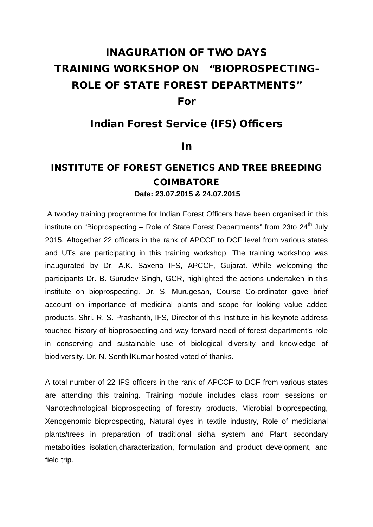## INAGURATION OF TWO DAYS TRAINING WORKSHOP ON "BIOPROSPECTING-ROLE OF STATE FOREST DEPARTMENTS" For

## Indian Forest Service (IFS) Officers

## In

## INSTITUTE OF FOREST GENETICS AND TREE BREEDING COIMBATORE **Date: 23.07.2015 & 24.07.2015**

A twoday training programme for Indian Forest Officers have been organised in this institute on "Bioprospecting – Role of State Forest Departments" from 23to  $24<sup>th</sup>$  July 2015. Altogether 22 officers in the rank of APCCF to DCF level from various states and UTs are participating in this training workshop. The training workshop was inaugurated by Dr. A.K. Saxena IFS, APCCF, Gujarat. While welcoming the participants Dr. B. Gurudev Singh, GCR, highlighted the actions undertaken in this institute on bioprospecting. Dr. S. Murugesan, Course Co-ordinator gave brief account on importance of medicinal plants and scope for looking value added products. Shri. R. S. Prashanth, IFS, Director of this Institute in his keynote address touched history of bioprospecting and way forward need of forest department's role in conserving and sustainable use of biological diversity and knowledge of biodiversity. Dr. N. SenthilKumar hosted voted of thanks.

A total number of 22 IFS officers in the rank of APCCF to DCF from various states are attending this training. Training module includes class room sessions on Nanotechnological bioprospecting of forestry products, Microbial bioprospecting, Xenogenomic bioprospecting, Natural dyes in textile industry, Role of medicianal plants/trees in preparation of traditional sidha system and Plant secondary metabolities isolation,characterization, formulation and product development, and field trip.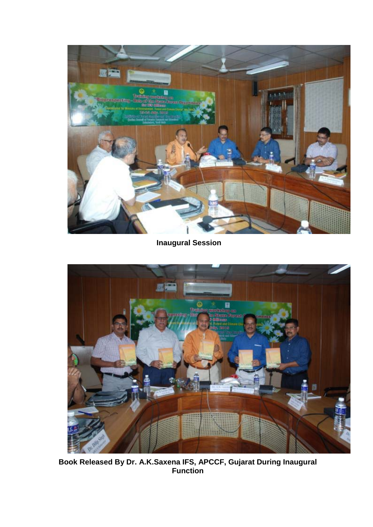

**Inaugural Session**



**Book Released By Dr. A.K.Saxena IFS, APCCF, Gujarat During Inaugural Function**